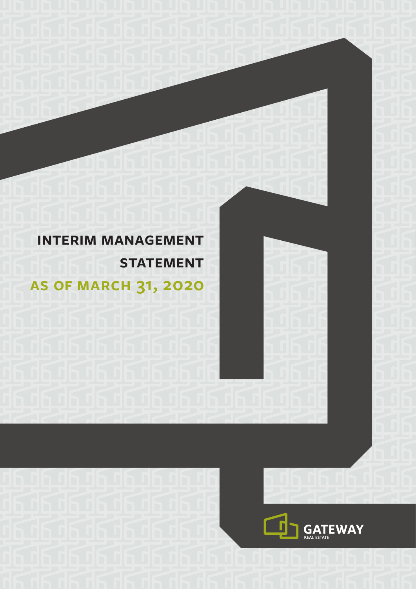# **interim management STATEMENT as of march 31, 2020**

בוע העבודה היה היה

فداف وافدونه

**Rupupupu** 

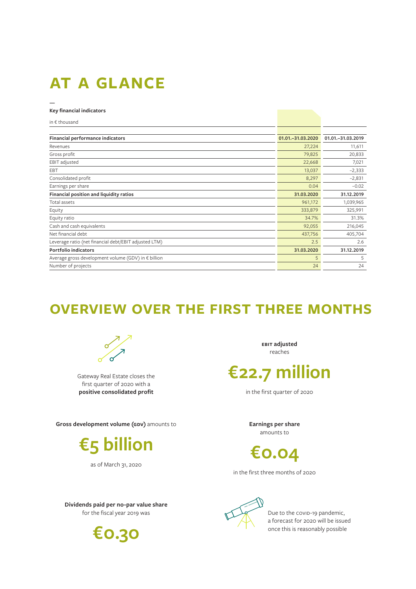## **at a glance**

#### **Key financial indicators**

**—**

| in $\epsilon$ thousand                                |                     |                   |
|-------------------------------------------------------|---------------------|-------------------|
|                                                       |                     |                   |
| Financial performance indicators                      | 01.01. - 31.03.2020 | 01.01.-31.03.2019 |
| Revenues                                              | 27,224              | 11,611            |
| Gross profit                                          | 79,825              | 20,833            |
| EBIT adjusted                                         | 22,668              | 7,021             |
| <b>EBT</b>                                            | 13,037              | $-2,333$          |
| Consolidated profit                                   | 8,297               | $-2,831$          |
| Earnings per share                                    | 0.04                | $-0.02$           |
| Financial position and liquidity ratios               | 31.03.2020          | 31.12.2019        |
| Total assets                                          | 961,172             | 1,039,965         |
| Equity                                                | 333,879             | 325,991           |
| Equity ratio                                          | 34.7%               | 31.3%             |
| Cash and cash equivalents                             | 92,055              | 216,045           |
| Net financial debt                                    | 437,756             | 405,704           |
| Leverage ratio (net financial debt/EBIT adjusted LTM) | 2.5                 | 2.6               |
| Portfolio indicators                                  | 31.03.2020          | 31.12.2019        |
| Average gross development volume (GDV) in € billion   | 5                   | 5                 |
| Number of projects                                    | 24                  | 24                |

## **overview over the first three months**



Gateway Real Estate closes the first quarter of 2020 with a **positive consolidated profit**

**Gross development volume (GDV)** amounts to



as of March 31, 2020

**Dividends paid per no-par value share**  for the fiscal year 2019 was



**ebit adjusted**  reaches

## **€22.7 million**

in the first quarter of 2020

**Earnings per share**  amounts to

**€0.04**

in the first three months of 2020



Due to the covid-19 pandemic, a forecast for 2020 will be issued once this is reasonably possible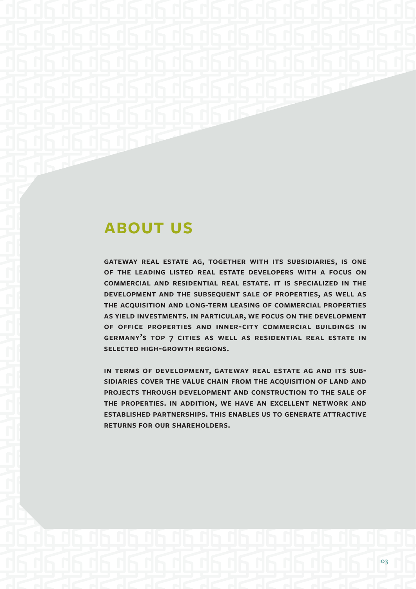## **about us**

**gateway real estate ag, together with its subsidiaries, is one of the leading listed real estate developers with a focus on commercial and residential real estate. it is specialized in the development and the subsequent sale of properties, as well as the acquisition and long-term leasing of commercial properties as yield investments. in particular, we focus on the development of office properties and inner-city commercial buildings in germany's top 7 cities as well as residential real estate in selected high-growth regions.**

**in terms of development, gateway real estate ag and its subsidiaries cover the value chain from the acquisition of land and projects through development and construction to the sale of the properties. in addition, we have an excellent network and established partnerships. this enables us to generate attractive returns for our shareholders.**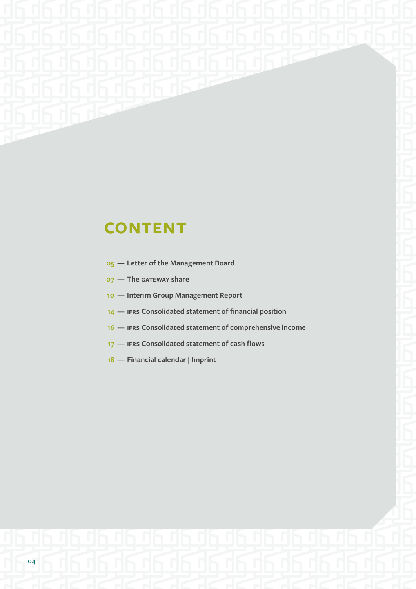# **CONTENT**

- **Letter of the Management Board**
- **The gateway share**
- **Interim Group Management Report**
- **ifrs Consolidated statement of financial position**
- **ifrs Consolidated statement of comprehensive income**
- **ifrs Consolidated statement of cash flows**
- **Financial calendar | Imprint**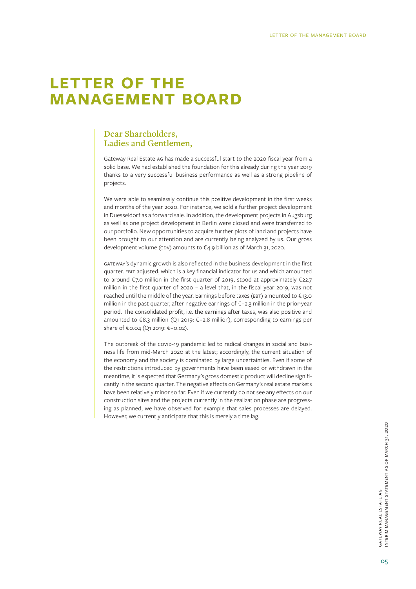## **letter of the management board**

#### **Dear Shareholders, Ladies and Gentlemen,**

Gateway Real Estate ag has made a successful start to the 2020 fiscal year from a solid base. We had established the foundation for this already during the year 2019 thanks to a very successful business performance as well as a strong pipeline of projects.

We were able to seamlessly continue this positive development in the first weeks and months of the year 2020. For instance, we sold a further project development in Duesseldorf as a forward sale. In addition, the development projects in Augsburg as well as one project development in Berlin were closed and were transferred to our portfolio. New opportunities to acquire further plots of land and projects have been brought to our attention and are currently being analyzed by us. Our gross development volume (GDV) amounts to €4.9 billion as of March 31, 2020.

gateway's dynamic growth is also reflected in the business development in the first quarter. ebit adjusted, which is a key financial indicator for us and which amounted to around € 7.0 million in the first quarter of 2019, stood at approximately € 22.7 million in the first quarter of 2020 – a level that, in the fiscal year 2019, was not reached until the middle of the year. Earnings before taxes (EBT) amounted to €13.0 million in the past quarter, after negative earnings of € –2.3 million in the prior-year period. The consolidated profit, i.e. the earnings after taxes, was also positive and amounted to € 8.3 million (Q1 2019: € –2.8 million), corresponding to earnings per share of € 0.04 (Q1 2019: € –0.02).

The outbreak of the covip-19 pandemic led to radical changes in social and business life from mid-March 2020 at the latest; accordingly, the current situation of the economy and the society is dominated by large uncertainties. Even if some of the restrictions introduced by governments have been eased or withdrawn in the meantime, it is expected that Germany's gross domestic product will decline significantly in the second quarter. The negative effects on Germany's real estate markets have been relatively minor so far. Even if we currently do not see any effects on our construction sites and the projects currently in the realization phase are progressing as planned, we have observed for example that sales processes are delayed. However, we currently anticipate that this is merely a time lag.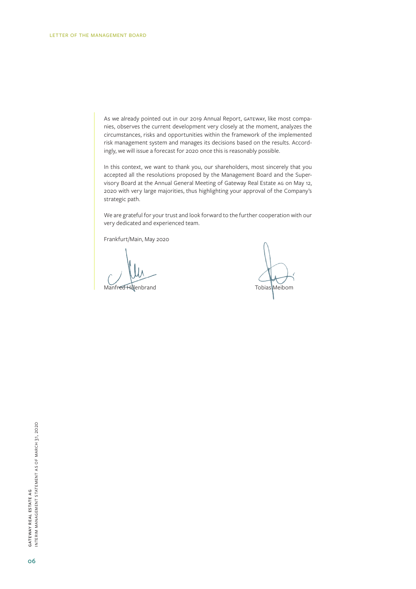As we already pointed out in our 2019 Annual Report, GATEWAY, like most companies, observes the current development very closely at the moment, analyzes the circumstances, risks and opportunities within the framework of the implemented risk management system and manages its decisions based on the results. Accordingly, we will issue a forecast for 2020 once this is reasonably possible.

In this context, we want to thank you, our shareholders, most sincerely that you accepted all the resolutions proposed by the Management Board and the Supervisory Board at the Annual General Meeting of Gateway Real Estate ag on May 12, 2020 with very large majorities, thus highlighting your approval of the Company's strategic path.

We are grateful for your trust and look forward to the further cooperation with our very dedicated and experienced team.

Frankfurt/Main, May 2020

Manfred Hillenbrand Tobias Meibom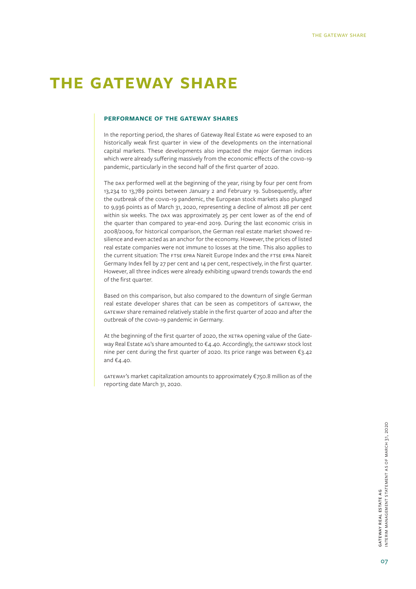## **the gateway share**

#### **performance of the gateway shares**

In the reporting period, the shares of Gateway Real Estate ag were exposed to an historically weak first quarter in view of the developments on the international capital markets. These developments also impacted the major German indices which were already suffering massively from the economic effects of the covip-19 pandemic, particularly in the second half of the first quarter of 2020.

The DAX performed well at the beginning of the year, rising by four per cent from 13,234 to 13,789 points between January 2 and February 19. Subsequently, after the outbreak of the covip-19 pandemic, the European stock markets also plunged to 9,936 points as of March 31, 2020, representing a decline of almost 28 per cent within six weeks. The DAX was approximately 25 per cent lower as of the end of the quarter than compared to year-end 2019. During the last economic crisis in 2008/2009, for historical comparison, the German real estate market showed resilience and even acted as an anchor for the economy. However, the prices of listed real estate companies were not immune to losses at the time. This also applies to the current situation: The FTSE EPRA Nareit Europe Index and the FTSE EPRA Nareit Germany Index fell by 27 per cent and 14 per cent, respectively, in the first quarter. However, all three indices were already exhibiting upward trends towards the end of the first quarter.

Based on this comparison, but also compared to the downturn of single German real estate developer shares that can be seen as competitors of gateway, the gateway share remained relatively stable in the first quarter of 2020 and after the outbreak of the covip-19 pandemic in Germany.

At the beginning of the first quarter of 2020, the XETRA opening value of the Gateway Real Estate AG's share amounted to  $\epsilon$ 4.40. Accordingly, the GATEWAY stock lost nine per cent during the first quarter of 2020. Its price range was between €3.42 and €4.40.

gateway's market capitalization amounts to approximately €750.8 million as of the reporting date March 31, 2020.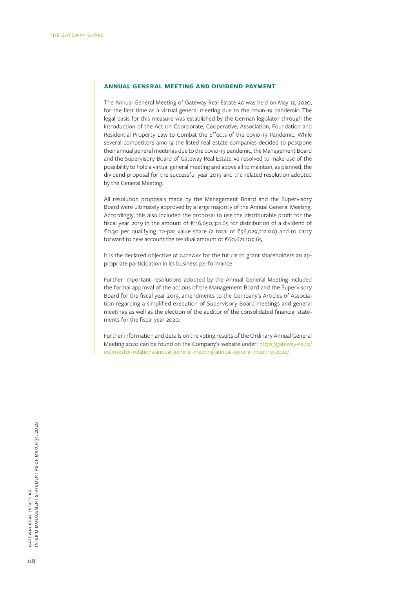#### **annual general meeting and dividend payment**

The Annual General Meeting of Gateway Real Estate ag was held on May 12, 2020, for the first time as a virtual general meeting due to the covip-19 pandemic. The legal basis for this measure was established by the German legislator through the introduction of the Act on Coorporate, Cooperative, Association, Foundation and Residential Property Law to Combat the Effects of the covid-19 Pandemic. While several competitors among the listed real estate companies decided to postpone their annual general meetings due to the covid-19 pandemic, the Management Board and the Supervisory Board of Gateway Real Estate ag resolved to make use of the possibility to hold a virtual general meeting and above all to maintain, as planned, the dividend proposal for the successful year 2019 and the related resolution adopted by the General Meeting.

All resolution proposals made by the Management Board and the Supervisory Board were ultimately approved by a large majority of the Annual General Meeting. Accordingly, this also included the proposal to use the distributable profit for the fiscal year 2019 in the amount of €116,650,321.65 for distribution of a dividend of €0.30 per qualifying no-par value share (a total of €56,029,212.00) and to carry forward to new account the residual amount of €60,621,109.65.

It is the declared objective of GATEWAY for the future to grant shareholders an appropriate participation in its business performance.

Further important resolutions adopted by the Annual General Meeting included the formal approval of the actions of the Management Board and the Supervisory Board for the fiscal year 2019, amendments to the Company's Articles of Association regarding a simplified execution of Supervisory Board meetings and general meetings as well as the election of the auditor of the consolidated financial statements for the fiscal year 2020.

Further information and details on the voting results of the Ordinary Annual General Meeting 2020 can be found on the Company's website under: https://gateway-re.de/ en/investor-relations/annual-general-meeting/annual-general-meeting-2020/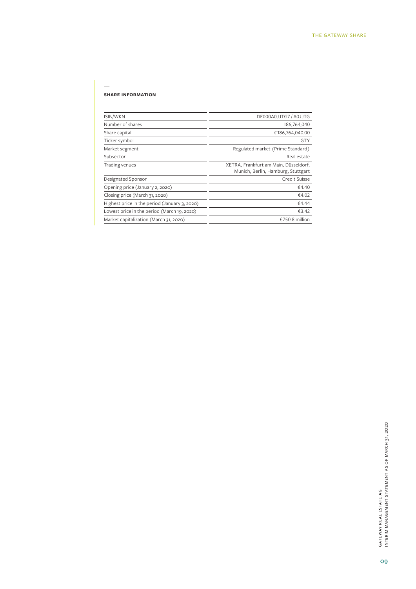#### **share information**

—

| ISIN/WKN                                      | DE000A0JJTG7 / A0JJTG                                                       |
|-----------------------------------------------|-----------------------------------------------------------------------------|
| Number of shares                              | 186,764,040                                                                 |
| Share capital                                 | €186,764,040.00                                                             |
| Ticker symbol                                 | <b>GTY</b>                                                                  |
| Market segment                                | Regulated market (Prime Standard)                                           |
| Subsector                                     | Real estate                                                                 |
| Trading venues                                | XETRA, Frankfurt am Main, Düsseldorf,<br>Munich, Berlin, Hamburg, Stuttgart |
| Designated Sponsor                            | Credit Suisse                                                               |
| Opening price (January 2, 2020)               | €4.40                                                                       |
| Closing price (March 31, 2020)                | €4.02                                                                       |
| Highest price in the period (January 3, 2020) | €4.44                                                                       |
| Lowest price in the period (March 19, 2020)   | €3.42                                                                       |
| Market capitalization (March 31, 2020)        | €750.8 million                                                              |
|                                               |                                                                             |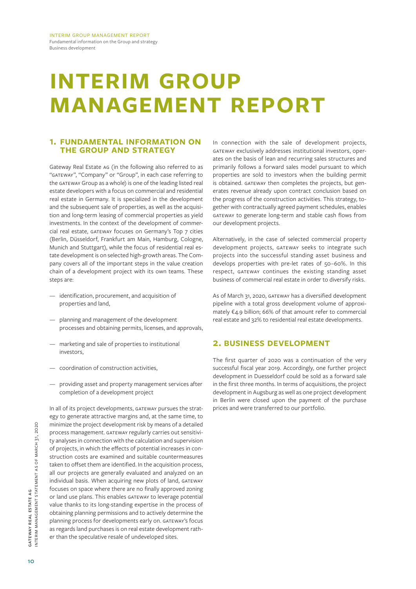interim group management report Fundamental information on the Group and strategy Business development

# **interim group management report**

#### **1. fundamental information on the group and strategy**

Gateway Real Estate ag (in the following also referred to as "gateway", "Company" or "Group", in each case referring to the gateway Group as a whole) is one of the leading listed real estate developers with a focus on commercial and residential real estate in Germany. It is specialized in the development and the subsequent sale of properties, as well as the acquisition and long-term leasing of commercial properties as yield investments. In the context of the development of commercial real estate, GATEWAY focuses on Germany's Top 7 cities (Berlin, Düsseldorf, Frankfurt am Main, Hamburg, Cologne, Munich and Stuttgart), while the focus of residential real estate development is on selected high-growth areas. The Company covers all of the important steps in the value creation chain of a development project with its own teams. These steps are:

- identification, procurement, and acquisition of properties and land,
- planning and management of the development processes and obtaining permits, licenses, and approvals,
- marketing and sale of properties to institutional investors,
- coordination of construction activities,
- providing asset and property management services after completion of a development project

In all of its project developments, GATEWAY pursues the strategy to generate attractive margins and, at the same time, to minimize the project development risk by means of a detailed process management. GATEWAY regularly carries out sensitivity analyses in connection with the calculation and supervision of projects, in which the effects of potential increases in construction costs are examined and suitable countermeasures taken to offset them are identified. In the acquisition process, all our projects are generally evaluated and analyzed on an individual basis. When acquiring new plots of land, GATEWAY focuses on space where there are no finally approved zoning or land use plans. This enables gateway to leverage potential value thanks to its long-standing expertise in the process of obtaining planning permissions and to actively determine the planning process for developments early on. GATEWAY's focus as regards land purchases is on real estate development rather than the speculative resale of undeveloped sites.

In connection with the sale of development projects, gateway exclusively addresses institutional investors, operates on the basis of lean and recurring sales structures and primarily follows a forward sales model pursuant to which properties are sold to investors when the building permit is obtained. GATEWAY then completes the projects, but generates revenue already upon contract conclusion based on the progress of the construction activities. This strategy, together with contractually agreed payment schedules, enables gateway to generate long-term and stable cash flows from our development projects.

Alternatively, in the case of selected commercial property development projects, GATEWAY seeks to integrate such projects into the successful standing asset business and develops properties with pre-let rates of 50–60%. In this respect, GATEWAY continues the existing standing asset business of commercial real estate in order to diversify risks.

As of March 31, 2020, GATEWAY has a diversified development pipeline with a total gross development volume of approximately €4.9 billion; 66% of that amount refer to commercial real estate and 32% to residential real estate developments.

#### **2. business development**

The first quarter of 2020 was a continuation of the very successful fiscal year 2019. Accordingly, one further project development in Duesseldorf could be sold as a forward sale in the first three months. In terms of acquisitions, the project development in Augsburg as well as one project development in Berlin were closed upon the payment of the purchase prices and were transferred to our portfolio.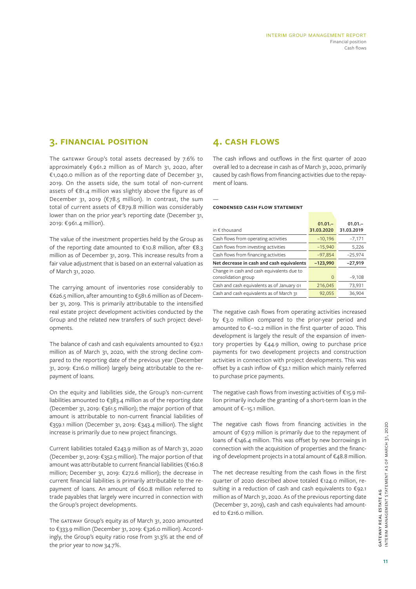#### **3. financial position**

The GATEWAY Group's total assets decreased by 7.6% to approximately €961.2 million as of March 31, 2020, after €1,040.0 million as of the reporting date of December 31, 2019. On the assets side, the sum total of non-current assets of €81.4 million was slightly above the figure as of December 31, 2019 (€78.5 million). In contrast, the sum total of current assets of €879.8 million was considerably lower than on the prior year's reporting date (December 31, 2019: €961.4 million).

The value of the investment properties held by the Group as of the reporting date amounted to €10.8 million, after €8.3 million as of December 31, 2019. This increase results from a fair value adjustment that is based on an external valuation as of March 31, 2020.

The carrying amount of inventories rose considerably to €626.5 million, after amounting to €581.6 million as of December 31, 2019. This is primarily attributable to the intensified real estate project development activities conducted by the Group and the related new transfers of such project developments.

The balance of cash and cash equivalents amounted to  $\epsilon$ 92.1 million as of March 31, 2020, with the strong decline compared to the reporting date of the previous year (December 31, 2019: €216.0 million) largely being attributable to the repayment of loans.

On the equity and liabilities side, the Group's non-current liabilities amounted to €383.4 million as of the reporting date (December 31, 2019: €361.5 million); the major portion of that amount is attributable to non-current financial liabilities of €359.1 million (December 31, 2019: €343.4 million). The slight increase is primarily due to new project financings.

Current liabilities totaled €243.9 million as of March 31, 2020 (December 31, 2019: €352.5 million). The major portion of that amount was attributable to current financial liabilities (€160.8 million; December 31, 2019: €272.6 million); the decrease in current financial liabilities is primarily attributable to the repayment of loans. An amount of €60.8 million referred to trade payables that largely were incurred in connection with the Group's project developments.

The GATEWAY Group's equity as of March 31, 2020 amounted to €333.9 million (December 31, 2019: €326.0 million). Accordingly, the Group's equity ratio rose from 31.3% at the end of the prior year to now 34.7%.

#### **4. cash flows**

The cash inflows and outflows in the first quarter of 2020 overall led to a decrease in cash as of March 31, 2020, primarily caused by cash flows from financing activities due to the repayment of loans.

#### **condensed cash flow statement**

| in $\epsilon$ thousand                                            | $01.01 -$<br>31.03.2020 | $01.01 -$<br>31.03.2019 |
|-------------------------------------------------------------------|-------------------------|-------------------------|
| Cash flows from operating activities                              | $-10,196$               | $-7,171$                |
| Cash flows from investing activities                              | $-15,940$               | 5,226                   |
| Cash flows from financing activities                              | $-97,854$               | $-25,974$               |
| Net decrease in cash and cash equivalents                         | $-123,990$              | $-27,919$               |
| Change in cash and cash equivalents due to<br>consolidation group | 0                       | $-9,108$                |
| Cash and cash equivalents as of January 01                        | 216,045                 | 73,931                  |
| Cash and cash equivalents as of March 31                          | 92,055                  | 36,904                  |

The negative cash flows from operating activities increased by €3.0 million compared to the prior-year period and amounted to €–10.2 million in the first quarter of 2020. This development is largely the result of the expansion of inventory properties by €44.9 million, owing to purchase price payments for two development projects and construction activities in connection with project developments. This was offset by a cash inflow of €32.1 million which mainly referred to purchase price payments.

The negative cash flows from investing activities of €15.9 million primarily include the granting of a short-term loan in the amount of €–15.1 million.

The negative cash flows from financing activities in the amount of €97.9 million is primarily due to the repayment of loans of €146.4 million. This was offset by new borrowings in connection with the acquisition of properties and the financing of development projects in a total amount of €48.8 million.

The net decrease resulting from the cash flows in the first quarter of 2020 described above totaled €124.0 million, resulting in a reduction of cash and cash equivalents to €92.1 million as of March 31, 2020. As of the previous reporting date (December 31, 2019), cash and cash equivalents had amounted to €216.0 million.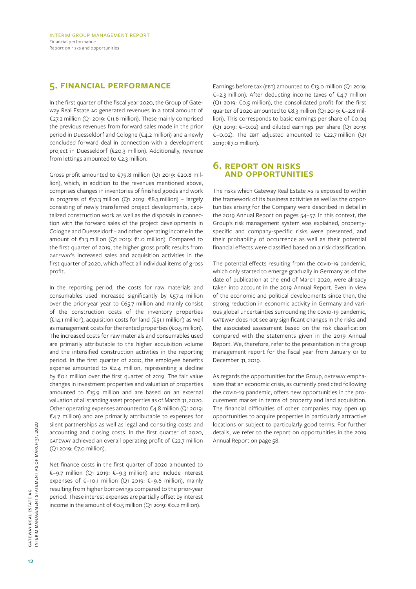#### **5. financial performance**

In the first quarter of the fiscal year 2020, the Group of Gateway Real Estate ag generated revenues in a total amount of €27.2 million (Q1 2019: €11.6 million). These mainly comprised the previous revenues from forward sales made in the prior period in Duesseldorf and Cologne (€4.2 million) and a newly concluded forward deal in connection with a development project in Duesseldorf (€20.3 million). Additionally, revenue from lettings amounted to €2.3 million.

Gross profit amounted to €79.8 million (Q1 2019: €20.8 million), which, in addition to the revenues mentioned above, comprises changes in inventories of finished goods and work in progress of €51.3 million (Q1 2019: €8.3 million) – largely consisting of newly transferred project developments, capitalized construction work as well as the disposals in connection with the forward sales of the project developments in Cologne and Duesseldorf – and other operating income in the amount of €1.3 million (Q1 2019: €1.0 million). Compared to the first quarter of 2019, the higher gross profit results from gateway's increased sales and acquisition activities in the first quarter of 2020, which affect all individual items of gross profit.

In the reporting period, the costs for raw materials and consumables used increased significantly by  $\epsilon$ 57.4 million over the prior-year year to €65.7 million and mainly consist of the construction costs of the inventory properties (€14.1 million), acquisition costs for land (€51.1 million) as well as management costs for the rented properties (€0.5 million). The increased costs for raw materials and consumables used are primarily attributable to the higher acquisition volume and the intensified construction activities in the reporting period. In the first quarter of 2020, the employee benefits expense amounted to €2.4 million, representing a decline by €0.1 million over the first quarter of 2019. The fair value changes in investment properties and valuation of properties amounted to €15.9 million and are based on an external valuation of all standing asset properties as of March 31, 2020. Other operating expenses amounted to €4.8 million (Q1 2019: €4.7 million) and are primarily attributable to expenses for silent partnerships as well as legal and consulting costs and accounting and closing costs. In the first quarter of 2020,  $GATEWAY$  achieved an overall operating profit of  $E22.7$  million (Q1 2019: €7.0 million).

Net finance costs in the first quarter of 2020 amounted to €–9.7 million (Q1 2019: €–9.3 million) and include interest expenses of €-10.1 million (Q1 2019: €-9.6 million), mainly resulting from higher borrowings compared to the prior-year period. These interest expenses are partially offset by interest income in the amount of €0.5 million (Q1 2019: €0.2 million).

Earnings before tax (EBT) amounted to  $\epsilon$ 13.0 million (Q1 2019: €–2.3 million). After deducting income taxes of €4.7 million (Q1 2019: €0.5 million), the consolidated profit for the first quarter of 2020 amounted to €8.3 million (Q1 2019: €–2.8 million). This corresponds to basic earnings per share of €0.04 (Q1 2019: €–0.02) and diluted earnings per share (Q1 2019: €–0.02). The ebit adjusted amounted to €22.7 million (Q1 2019: €7.0 million).

#### **6. report on risks and opportunities**

The risks which Gateway Real Estate ag is exposed to within the framework of its business activities as well as the opportunities arising for the Company were described in detail in the 2019 Annual Report on pages 54–57. In this context, the Group's risk management system was explained, propertyspecific and company-specific risks were presented, and their probability of occurrence as well as their potential financial effects were classified based on a risk classification.

The potential effects resulting from the covid-19 pandemic, which only started to emerge gradually in Germany as of the date of publication at the end of March 2020, were already taken into account in the 2019 Annual Report. Even in view of the economic and political developments since then, the strong reduction in economic activity in Germany and various global uncertainties surrounding the covid-19 pandemic, gateway does not see any significant changes in the risks and the associated assessment based on the risk classification compared with the statements given in the 2019 Annual Report. We, therefore, refer to the presentation in the group management report for the fiscal year from January 01 to December 31, 2019.

As regards the opportunities for the Group, GATEWAY emphasizes that an economic crisis, as currently predicted following the covid-19 pandemic, offers new opportunities in the procurement market in terms of property and land acquisition. The financial difficulties of other companies may open up opportunities to acquire properties in particularly attractive locations or subject to particularly good terms. For further details, we refer to the report on opportunities in the 2019 Annual Report on page 58.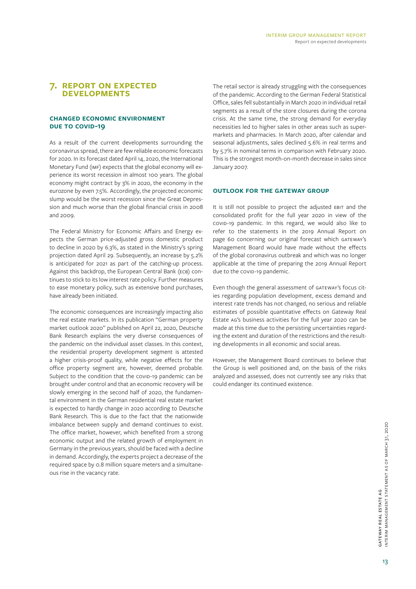#### **7. report on expected developments**

#### **changed economic environment DUE TO COVID-19**

As a result of the current developments surrounding the coronavirus spread, there are few reliable economic forecasts for 2020. In its forecast dated April 14, 2020, the International Monetary Fund (imf) expects that the global economy will experience its worst recession in almost 100 years. The global economy might contract by 3% in 2020, the economy in the eurozone by even 7.5%. Accordingly, the projected economic slump would be the worst recession since the Great Depression and much worse than the global financial crisis in 2008 and 2009.

The Federal Ministry for Economic Affairs and Energy expects the German price-adjusted gross domestic product to decline in 2020 by 6.3%, as stated in the Ministry's spring projection dated April 29. Subsequently, an increase by 5.2% is anticipated for 2021 as part of the catching-up process. Against this backdrop, the European Central Bank (ECB) continues to stick to its low interest rate policy. Further measures to ease monetary policy, such as extensive bond purchases, have already been initiated.

The economic consequences are increasingly impacting also the real estate markets. In its publication "German property market outlook 2020" published on April 22, 2020, Deutsche Bank Research explains the very diverse consequences of the pandemic on the individual asset classes. In this context, the residential property development segment is attested a higher crisis-proof quality, while negative effects for the office property segment are, however, deemed probable. Subject to the condition that the covid-19 pandemic can be brought under control and that an economic recovery will be slowly emerging in the second half of 2020, the fundamental environment in the German residential real estate market is expected to hardly change in 2020 according to Deutsche Bank Research. This is due to the fact that the nationwide imbalance between supply and demand continues to exist. The office market, however, which benefited from a strong economic output and the related growth of employment in Germany in the previous years, should be faced with a decline in demand. Accordingly, the experts project a decrease of the required space by 0.8 million square meters and a simultaneous rise in the vacancy rate.

The retail sector is already struggling with the consequences of the pandemic. According to the German Federal Statistical Office, sales fell substantially in March 2020 in individual retail segments as a result of the store closures during the corona crisis. At the same time, the strong demand for everyday necessities led to higher sales in other areas such as supermarkets and pharmacies. In March 2020, after calendar and seasonal adjustments, sales declined 5.6% in real terms and by 5.7% in nominal terms in comparison with February 2020. This is the strongest month-on-month decrease in sales since January 2007.

#### **outlook for the gateway group**

It is still not possible to project the adjusted EBIT and the consolidated profit for the full year 2020 in view of the covid-19 pandemic. In this regard, we would also like to refer to the statements in the 2019 Annual Report on page 60 concerning our original forecast which GATEWAY's Management Board would have made without the effects of the global coronavirus outbreak and which was no longer applicable at the time of preparing the 2019 Annual Report due to the covid-19 pandemic.

Even though the general assessment of GATEWAY's focus cities regarding population development, excess demand and interest rate trends has not changed, no serious and reliable estimates of possible quantitative effects on Gateway Real Estate ag's business activities for the full year 2020 can be made at this time due to the persisting uncertainties regarding the extent and duration of the restrictions and the resulting developments in all economic and social areas.

However, the Management Board continues to believe that the Group is well positioned and, on the basis of the risks analyzed and assessed, does not currently see any risks that could endanger its continued existence.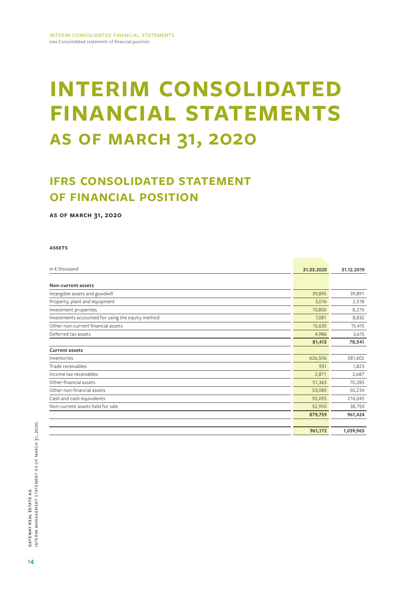# **INTERIM CONSOLIDATED financial statements as of march 31, 2020**

### **IFRS CONSOLIDATED STATEMENT of financial position**

**as of march 31, 2020**

#### **assets**

| in $\epsilon$ thousand                            | 31.03.2020 | 31.12.2019 |
|---------------------------------------------------|------------|------------|
|                                                   |            |            |
| Non-current assets                                |            |            |
| Intangible assets and goodwill                    | 39,895     | 39,891     |
| Property, plant and equipment                     | 3,016      | 2,518      |
| Investment properties                             | 10,800     | 8,270      |
| Investments accounted for using the equity method | 7,081      | 8,832      |
| Other non-current financial assets                | 15,635     | 15,415     |
| Deferred tax assets                               | 4,986      | 3,615      |
|                                                   | 81,413     | 78,541     |
| <b>Current assets</b>                             |            |            |
| Inventories                                       | 626,506    | 581,602    |
| Trade receivables                                 | 931        | 1,823      |
| Income tax receivables                            | 2,871      | 2,687      |
| Other financial assets                            | 51,363     | 70,283     |
| Other non-financial assets                        | 53,083     | 50,234     |
| Cash and cash equivalents                         | 92,055     | 216,045    |
| Non-current assets held for sale                  | 52,950     | 38,750     |
|                                                   | 879,759    | 961,424    |
|                                                   |            |            |
|                                                   | 961,172    | 1,039,965  |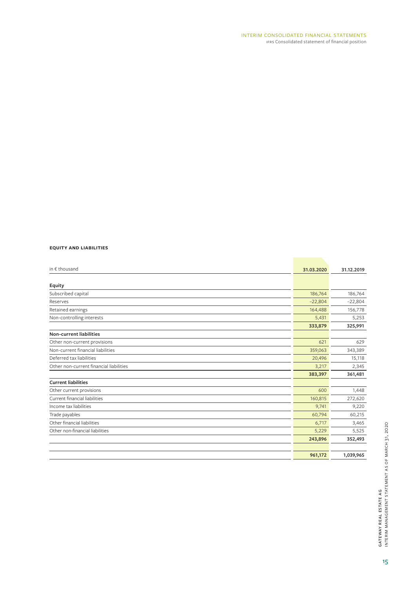#### **equity and liabilities**

| in € thousand                           | 31.03.2020 | 31.12.2019 |
|-----------------------------------------|------------|------------|
|                                         |            |            |
| Equity                                  |            |            |
| Subscribed capital                      | 186,764    | 186,764    |
| Reserves                                | $-22,804$  | $-22,804$  |
| Retained earnings                       | 164,488    | 156,778    |
| Non-controlling interests               | 5,431      | 5,253      |
|                                         | 333,879    | 325,991    |
| <b>Non-current liabilities</b>          |            |            |
| Other non-current provisions            | 621        | 629        |
| Non-current financial liabilities       | 359,063    | 343,389    |
| Deferred tax liabilities                | 20,496     | 15,118     |
| Other non-current financial liabilities | 3,217      | 2,345      |
|                                         | 383,397    | 361,481    |
| <b>Current liabilities</b>              |            |            |
| Other current provisions                | 600        | 1,448      |
| Current financial liabilities           | 160,815    | 272,620    |
| Income tax liabilities                  | 9,741      | 9,220      |
| Trade payables                          | 60,794     | 60,215     |
| Other financial liabilities             | 6,717      | 3,465      |
| Other non-financial liabilities         | 5,229      | 5,525      |
|                                         | 243,896    | 352,493    |
|                                         |            |            |
|                                         | 961,172    | 1,039,965  |
|                                         |            |            |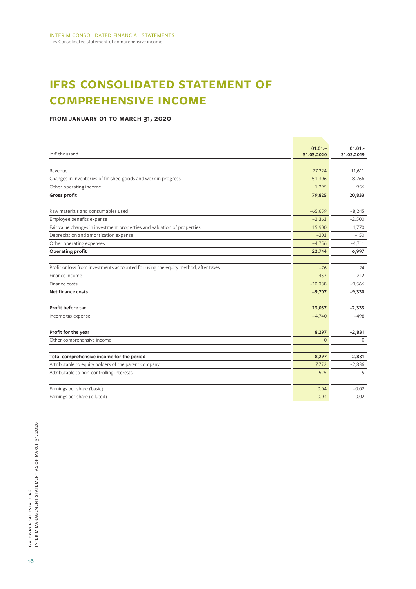## **ifrs consolidated statement of comprehensive income**

#### **from january 01 to march 31, 2020**

| in € thousand                                                                      | $01.01 -$<br>31.03.2020 | $01.01 -$<br>31.03.2019 |
|------------------------------------------------------------------------------------|-------------------------|-------------------------|
| Revenue                                                                            | 27,224                  |                         |
|                                                                                    |                         | 11,611                  |
| Changes in inventories of finished goods and work in progress                      | 51,306                  | 8,266                   |
| Other operating income                                                             | 1,295                   | 956                     |
| Gross profit                                                                       | 79,825                  | 20,833                  |
| Raw materials and consumables used                                                 | $-65,659$               | $-8,245$                |
| Employee benefits expense                                                          | $-2,363$                | $-2,500$                |
| Fair value changes in investment properties and valuation of properties            | 15,900                  | 1,770                   |
| Depreciation and amortization expense                                              | $-203$                  | $-150$                  |
| Other operating expenses                                                           | $-4,756$                | $-4,711$                |
| Operating profit                                                                   | 22,744                  | 6,997                   |
| Profit or loss from investments accounted for using the equity method, after taxes | $-76$                   | 24                      |
| Finance income                                                                     | 457                     | 212                     |
| Finance costs                                                                      | $-10,088$               | $-9,566$                |
| <b>Net finance costs</b>                                                           | $-9,707$                | $-9,330$                |
| Profit before tax                                                                  | 13,037                  | $-2,333$                |
| Income tax expense                                                                 | $-4,740$                | -498                    |
| Profit for the year                                                                | 8,297                   | $-2,831$                |
| Other comprehensive income                                                         | $\overline{0}$          | $\circ$                 |
| Total comprehensive income for the period                                          | 8,297                   | $-2,831$                |
| Attributable to equity holders of the parent company                               | 7,772                   | $-2,836$                |
| Attributable to non-controlling interests                                          | 525                     | 5                       |
| Earnings per share (basic)                                                         | 0.04                    | $-0.02$                 |
| Earnings per share (diluted)                                                       | 0.04                    | $-0.02$                 |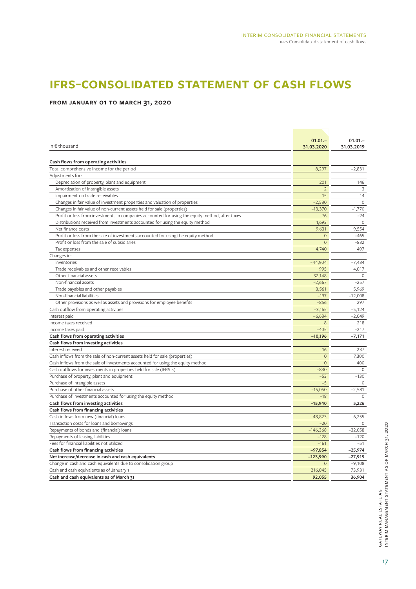### **ifrs-consolidated statement of cash flows**

#### **from january 01 to march 31, 2020**

|                                                                                                 | $01.01 -$      | $01.01 -$    |
|-------------------------------------------------------------------------------------------------|----------------|--------------|
| in $\epsilon$ thousand                                                                          | 31.03.2020     | 31.03.2019   |
|                                                                                                 |                |              |
| Cash flows from operating activities                                                            |                |              |
| Total comprehensive income for the period                                                       | 8,297          | $-2,831$     |
| Adjustments for:                                                                                |                |              |
| Depreciation of property, plant and equipment                                                   | 201            | 146          |
| Amortization of intangible assets                                                               | $\overline{2}$ | 3            |
| Impairment on trade receivables                                                                 | 15             | 14           |
| Changes in fair value of investment properties and valuation of properties                      | $-2,530$       | $\mathbf{0}$ |
| Changes in fair value of non-current assets held for sale (properties)                          | $-13,370$      | $-1,770$     |
| Profit or loss from investments in companies accounted for using the equity method, after taxes | 76             | $-24$        |
| Distributions received from investments accounted for using the equity method                   | 1,693          | $\circ$      |
| Net finance costs                                                                               | 9,631          | 9,554        |
| Profit or loss from the sale of investments accounted for using the equity method               | $\overline{0}$ | $-465$       |
| Profit or loss from the sale of subsidiaries                                                    | $\mathbf{0}$   | $-832$       |
| Tax expenses                                                                                    | 4,740          | 497          |
| Changes in:                                                                                     |                |              |
| Inventories                                                                                     | $-44,904$      | $-7,434$     |
| Trade receivables and other receivables                                                         | 995            | 4,017        |
| Other financial assets                                                                          | 32,148         | $\circ$      |
| Non-financial assets                                                                            | $-2,667$       | $-257$       |
| Trade payables and other payables                                                               | 3,561          | 5,969        |
| Non-financial liabilities                                                                       | $-197$         | $-12,008$    |
| Other provisions as weil as assets and provisions for employee benefits                         | $-856$         | 297          |
| Cash outflow from operating activities                                                          | $-3,165$       | $-5,124$     |
| Interest paid                                                                                   | $-6,634$       | $-2,049$     |
| Income taxes received                                                                           | 8              | 218          |
| Income taxes paid                                                                               | $-405$         | $-217$       |
| Cash flows from operating activities                                                            | $-10,196$      | $-7,171$     |
| Cash flows from investing activities                                                            |                |              |
| Interest received                                                                               | 16             | 237          |
| Cash inflows from the sale of non-current assets held for sale (properties)                     | $\mathbf 0$    | 7,300        |
| Cash inflows from the sale of investments accounted for using the equity method                 | $\Omega$       | 400          |
| Cash outflows for investments in properties held for sale (IFRS 5)                              | $-830$         | $\circ$      |
| Purchase of property, plant and equipment                                                       | $-53$          | $-130$       |
| Purchase of intangible assets                                                                   | $-5$           | $\Omega$     |
| Purchase of other financial assets                                                              | $-15,050$      | $-2,581$     |
| Purchase of investments accounted for using the equity method                                   | $-18$          | $\circ$      |
| Cash flows from investing activities                                                            | $-15,940$      | 5,226        |
| Cash flows from financing activities                                                            |                |              |
| Cash inflows from new (financial) loans                                                         | 48,823         | 6,255        |
| Transaction costs for loans and borrowings                                                      | $-20$          | $\Omega$     |
| Repayments of bonds and (financial) loans                                                       | $-146,368$     | $-32,058$    |
| Repayments of leasing liabilities                                                               | $-128$         | $-120$       |
| Fees for financial liabilities not utilized                                                     | $-161$         | $-51$        |
| Cash flows from financing activities                                                            | $-97,854$      | $-25,974$    |
| Net increase/decrease in cash and cash equivalents                                              | $-123,990$     | $-27,919$    |
| Change in cash and cash equivalents due to consolidation group                                  | $\mathbf{0}$   | $-9,108$     |
| Cash and cash equivalents as of January 1                                                       | 216,045        | 73,931       |
| Cash and cash equivalents as of March 31                                                        | 92,055         | 36,904       |
|                                                                                                 |                |              |